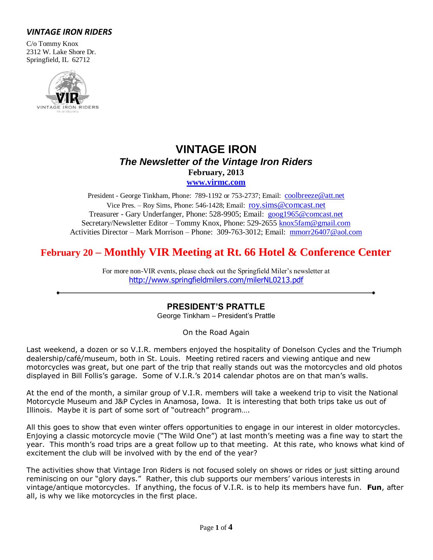## *VINTAGE IRON RIDERS*

C/o Tommy Knox 2312 W. Lake Shore Dr. Springfield, IL 62712



# **VINTAGE IRON** *The Newsletter of the Vintage Iron Riders* **February, 2013**

**[www.virmc.com](http://www.virmc.com/)** 

President - George Tinkham, Phone: 789-1192 or 753-2737; Email: [coolbreeze@att.net](mailto:coolbreeze@att.net) Vice Pres. – Roy Sims, Phone: 546-1428; Email: [roy.sims@comcast.net](mailto:roy.sims@comcast.net) Treasurer - Gary Underfanger, Phone: 528-9905; Email: [goog1965@comcast.net](mailto:goog1965@comcast.net) Secretary/Newsletter Editor – Tommy Knox, Phone: 529-2655 [knox5fam@gmail.com](mailto:knox5fam@gmail.com) Activities Director – Mark Morrison – Phone: 309-763-3012; Email: [mmorr26407@aol.com](mailto:mmorr26407@aol.com)

# **February 20 – Monthly VIR Meeting at Rt. 66 Hotel & Conference Center**

For more non-VIR events, please check out the Springfield Miler's newsletter at [http://www.springfieldmilers.com/milerNL0213.pdf](http://www.springfieldmilers.com/milerNL0113.pdf)

### **PRESIDENT'S PRATTLE**

George Tinkham – President's Prattle

On the Road Again

Last weekend, a dozen or so V.I.R. members enjoyed the hospitality of Donelson Cycles and the Triumph dealership/café/museum, both in St. Louis. Meeting retired racers and viewing antique and new motorcycles was great, but one part of the trip that really stands out was the motorcycles and old photos displayed in Bill Follis's garage. Some of V.I.R.'s 2014 calendar photos are on that man's walls.

At the end of the month, a similar group of V.I.R. members will take a weekend trip to visit the National Motorcycle Museum and J&P Cycles in Anamosa, Iowa. It is interesting that both trips take us out of Illinois. Maybe it is part of some sort of "outreach" program….

All this goes to show that even winter offers opportunities to engage in our interest in older motorcycles. Enjoying a classic motorcycle movie ("The Wild One") at last month's meeting was a fine way to start the year. This month's road trips are a great follow up to that meeting. At this rate, who knows what kind of excitement the club will be involved with by the end of the year?

The activities show that Vintage Iron Riders is not focused solely on shows or rides or just sitting around reminiscing on our "glory days." Rather, this club supports our members' various interests in vintage/antique motorcycles. If anything, the focus of V.I.R. is to help its members have fun. **Fun**, after all, is why we like motorcycles in the first place.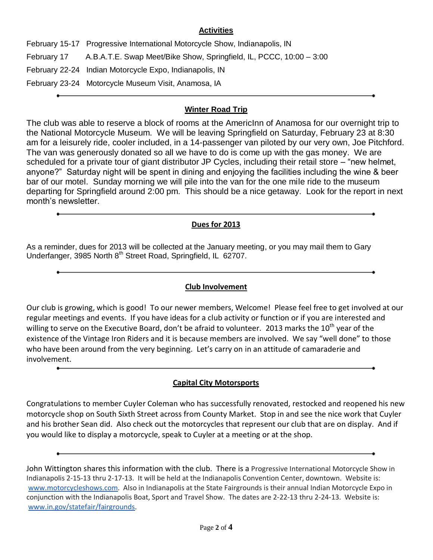#### **Activities**

February 15-17 Progressive International Motorcycle Show, Indianapolis, IN February 17 A.B.A.T.E. Swap Meet/Bike Show, Springfield, IL, PCCC, 10:00 – 3:00 February 22-24 Indian Motorcycle Expo, Indianapolis, IN February 23-24 Motorcycle Museum Visit, Anamosa, IA

## **Winter Road Trip**

The club was able to reserve a block of rooms at the AmericInn of Anamosa for our overnight trip to the National Motorcycle Museum. We will be leaving Springfield on Saturday, February 23 at 8:30 am for a leisurely ride, cooler included, in a 14-passenger van piloted by our very own, Joe Pitchford. The van was generously donated so all we have to do is come up with the gas money. We are scheduled for a private tour of giant distributor JP Cycles, including their retail store – "new helmet, anyone?" Saturday night will be spent in dining and enjoying the facilities including the wine & beer bar of our motel. Sunday morning we will pile into the van for the one mile ride to the museum departing for Springfield around 2:00 pm. This should be a nice getaway. Look for the report in next month's newsletter.

#### **Dues for 2013**

As a reminder, dues for 2013 will be collected at the January meeting, or you may mail them to Gary Underfanger, 3985 North 8<sup>th</sup> Street Road, Springfield, IL 62707.

### **Club Involvement**

Our club is growing, which is good! To our newer members, Welcome! Please feel free to get involved at our regular meetings and events. If you have ideas for a club activity or function or if you are interested and willing to serve on the Executive Board, don't be afraid to volunteer. 2013 marks the 10<sup>th</sup> year of the existence of the Vintage Iron Riders and it is because members are involved. We say "well done" to those who have been around from the very beginning. Let's carry on in an attitude of camaraderie and involvement.

### **Capital City Motorsports**

Congratulations to member Cuyler Coleman who has successfully renovated, restocked and reopened his new motorcycle shop on South Sixth Street across from County Market. Stop in and see the nice work that Cuyler and his brother Sean did. Also check out the motorcycles that represent our club that are on display. And if you would like to display a motorcycle, speak to Cuyler at a meeting or at the shop.

John Wittington shares this information with the club. There is a Progressive International Motorcycle Show in Indianapolis 2-15-13 thru 2-17-13. It will be held at the Indianapolis Convention Center, downtown. Website is: [www.motorcycleshows.com.](http://www.motorcycleshows.com/) Also in Indianapolis at the State Fairgrounds is their annual Indian Motorcycle Expo in conjunction with the Indianapolis Boat, Sport and Travel Show. The dates are 2-22-13 thru 2-24-13. Website is: [www.in.gov/statefair/fairgrounds.](http://www.in.gov/statefair/fairgrounds)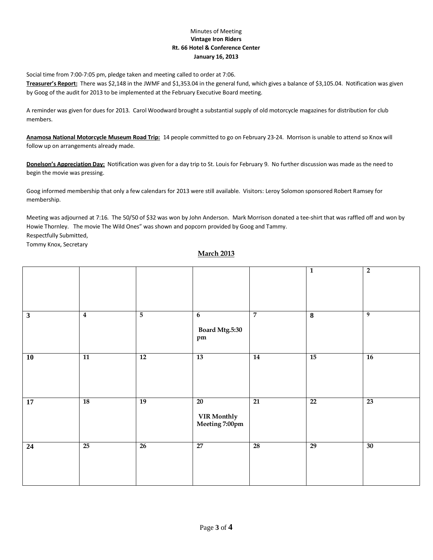#### Minutes of Meeting **Vintage Iron Riders Rt. 66 Hotel & Conference Center January 16, 2013**

Social time from 7:00-7:05 pm, pledge taken and meeting called to order at 7:06.

**Treasurer's Report:** There was \$2,148 in the JWMF and \$1,353.04 in the general fund, which gives a balance of \$3,105.04. Notification was given by Goog of the audit for 2013 to be implemented at the February Executive Board meeting.

A reminder was given for dues for 2013. Carol Woodward brought a substantial supply of old motorcycle magazines for distribution for club members.

**Anamosa National Motorcycle Museum Road Trip:** 14 people committed to go on February 23-24. Morrison is unable to attend so Knox will follow up on arrangements already made.

**Donelson's Appreciation Day:** Notification was given for a day trip to St. Louis for February 9. No further discussion was made as the need to begin the movie was pressing.

Goog informed membership that only a few calendars for 2013 were still available. Visitors: Leroy Solomon sponsored Robert Ramsey for membership.

Meeting was adjourned at 7:16. The 50/50 of \$32 was won by John Anderson. Mark Morrison donated a tee-shirt that was raffled off and won by Howie Thornley. The movie The Wild Ones" was shown and popcorn provided by Goog and Tammy. Respectfully Submitted,

Tommy Knox, Secretary

#### **March 2013**

|              |                 |                 |                                     |                 | $\mathbf{1}$            | $\overline{\mathbf{2}}$ |
|--------------|-----------------|-----------------|-------------------------------------|-----------------|-------------------------|-------------------------|
| $\mathbf{3}$ | $\overline{4}$  | $\overline{5}$  | 6<br><b>Board Mtg.5:30</b><br>pm    | $\overline{7}$  | $\overline{\mathbf{8}}$ | 9                       |
| 10           | $\overline{11}$ | $\overline{12}$ | 13                                  | 14              | $\overline{15}$         | $\overline{16}$         |
| 17           | <b>18</b>       | 19              | 20<br>VIR Monthly<br>Meeting 7:00pm | $\overline{21}$ | 22                      | 23                      |
| 24           | $\overline{25}$ | $\overline{26}$ | $\overline{27}$                     | $\overline{28}$ | $\overline{29}$         | 30                      |